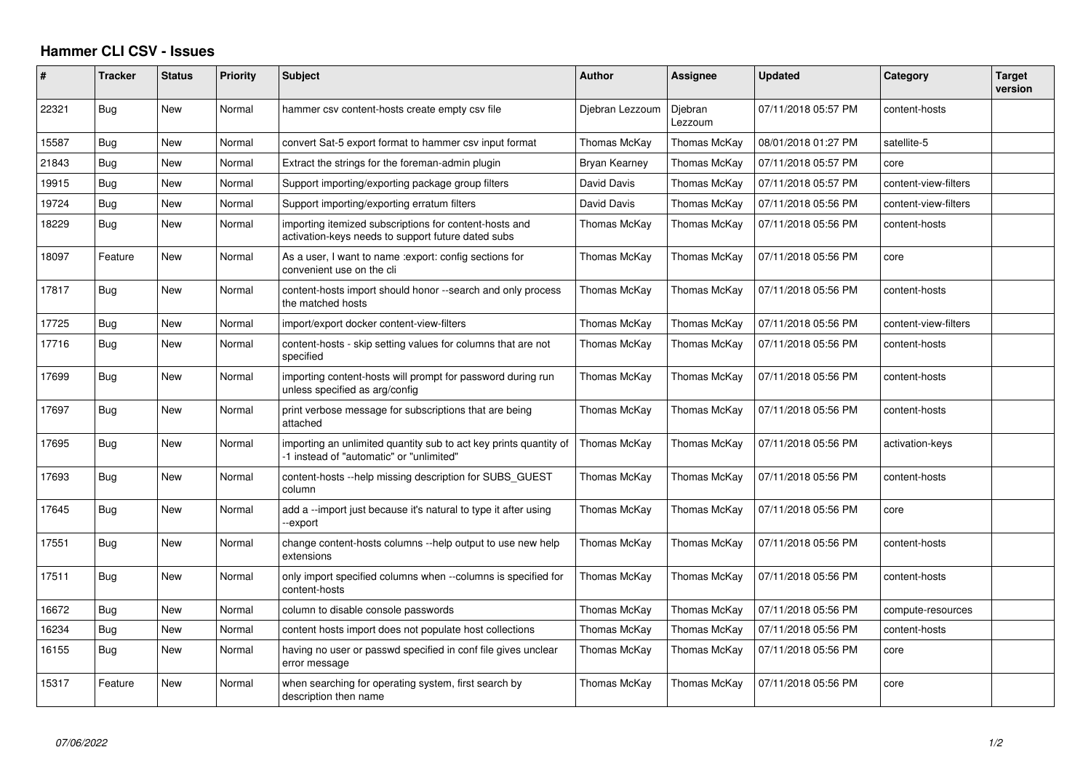## **Hammer CLI CSV - Issues**

| ∦     | <b>Tracker</b> | <b>Status</b> | <b>Priority</b> | <b>Subject</b>                                                                                                | <b>Author</b>   | Assignee           | Updated             | Category             | <b>Target</b><br>version |
|-------|----------------|---------------|-----------------|---------------------------------------------------------------------------------------------------------------|-----------------|--------------------|---------------------|----------------------|--------------------------|
| 22321 | Bug            | New           | Normal          | hammer csv content-hosts create empty csv file                                                                | Djebran Lezzoum | Djebran<br>Lezzoum | 07/11/2018 05:57 PM | content-hosts        |                          |
| 15587 | Bug            | New           | Normal          | convert Sat-5 export format to hammer csv input format                                                        | Thomas McKay    | Thomas McKay       | 08/01/2018 01:27 PM | satellite-5          |                          |
| 21843 | Bug            | New           | Normal          | Extract the strings for the foreman-admin plugin                                                              | Bryan Kearney   | Thomas McKay       | 07/11/2018 05:57 PM | core                 |                          |
| 19915 | Bug            | New           | Normal          | Support importing/exporting package group filters                                                             | David Davis     | Thomas McKay       | 07/11/2018 05:57 PM | content-view-filters |                          |
| 19724 | Bug            | New           | Normal          | Support importing/exporting erratum filters                                                                   | David Davis     | Thomas McKay       | 07/11/2018 05:56 PM | content-view-filters |                          |
| 18229 | Bug            | New           | Normal          | importing itemized subscriptions for content-hosts and<br>activation-keys needs to support future dated subs  | Thomas McKay    | Thomas McKay       | 07/11/2018 05:56 PM | content-hosts        |                          |
| 18097 | Feature        | <b>New</b>    | Normal          | As a user, I want to name : export: config sections for<br>convenient use on the cli                          | Thomas McKay    | Thomas McKay       | 07/11/2018 05:56 PM | core                 |                          |
| 17817 | Bug            | New           | Normal          | content-hosts import should honor --search and only process<br>the matched hosts                              | Thomas McKav    | Thomas McKay       | 07/11/2018 05:56 PM | content-hosts        |                          |
| 17725 | Bug            | New           | Normal          | import/export docker content-view-filters                                                                     | Thomas McKay    | Thomas McKay       | 07/11/2018 05:56 PM | content-view-filters |                          |
| 17716 | <b>Bug</b>     | New           | Normal          | content-hosts - skip setting values for columns that are not<br>specified                                     | Thomas McKay    | Thomas McKay       | 07/11/2018 05:56 PM | content-hosts        |                          |
| 17699 | Bug            | New           | Normal          | importing content-hosts will prompt for password during run<br>unless specified as arg/config                 | Thomas McKay    | Thomas McKay       | 07/11/2018 05:56 PM | content-hosts        |                          |
| 17697 | Bug            | <b>New</b>    | Normal          | print verbose message for subscriptions that are being<br>attached                                            | Thomas McKay    | Thomas McKay       | 07/11/2018 05:56 PM | content-hosts        |                          |
| 17695 | Bug            | New           | Normal          | importing an unlimited quantity sub to act key prints quantity of<br>-1 instead of "automatic" or "unlimited" | Thomas McKay    | Thomas McKay       | 07/11/2018 05:56 PM | activation-keys      |                          |
| 17693 | Bug            | New           | Normal          | content-hosts --help missing description for SUBS GUEST<br>column                                             | Thomas McKay    | Thomas McKay       | 07/11/2018 05:56 PM | content-hosts        |                          |
| 17645 | Bug            | New           | Normal          | add a --import just because it's natural to type it after using<br>-export                                    | Thomas McKay    | Thomas McKay       | 07/11/2018 05:56 PM | core                 |                          |
| 17551 | Bug            | New           | Normal          | change content-hosts columns --help output to use new help<br>extensions                                      | Thomas McKay    | Thomas McKay       | 07/11/2018 05:56 PM | content-hosts        |                          |
| 17511 | <b>Bug</b>     | New           | Normal          | only import specified columns when --columns is specified for<br>content-hosts                                | Thomas McKay    | Thomas McKay       | 07/11/2018 05:56 PM | content-hosts        |                          |
| 16672 | Bug            | New           | Normal          | column to disable console passwords                                                                           | Thomas McKay    | Thomas McKay       | 07/11/2018 05:56 PM | compute-resources    |                          |
| 16234 | Bug            | New           | Normal          | content hosts import does not populate host collections                                                       | Thomas McKay    | Thomas McKay       | 07/11/2018 05:56 PM | content-hosts        |                          |
| 16155 | <b>Bug</b>     | New           | Normal          | having no user or passwd specified in conf file gives unclear<br>error message                                | Thomas McKay    | Thomas McKay       | 07/11/2018 05:56 PM | core                 |                          |
| 15317 | Feature        | New           | Normal          | when searching for operating system, first search by<br>description then name                                 | Thomas McKay    | Thomas McKay       | 07/11/2018 05:56 PM | core                 |                          |